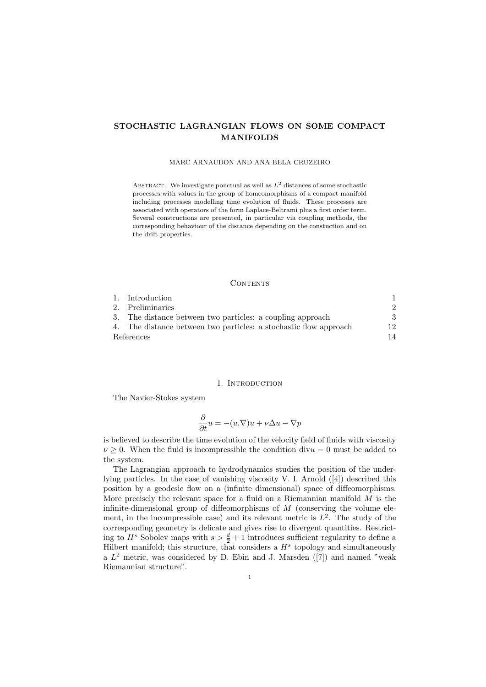# STOCHASTIC LAGRANGIAN FLOWS ON SOME COMPACT MANIFOLDS

### MARC ARNAUDON AND ANA BELA CRUZEIRO

ABSTRACT. We investigate ponctual as well as  $L^2$  distances of some stochastic processes with values in the group of homeomorphisms of a compact manifold including processes modelling time evolution of fluids. These processes are associated with operators of the form Laplace-Beltrami plus a first order term. Several constructions are presented, in particular via coupling methods, the corresponding behaviour of the distance depending on the constuction and on the drift properties.

## CONTENTS

|            | 1. Introduction                                                   |               |
|------------|-------------------------------------------------------------------|---------------|
|            | 2. Preliminaries                                                  | $\mathcal{D}$ |
|            | 3. The distance between two particles: a coupling approach        | 3             |
|            | 4. The distance between two particles: a stochastic flow approach | 12            |
| References |                                                                   | 14            |

### 1. INTRODUCTION

The Navier-Stokes system

$$
\frac{\partial}{\partial t}u = -(u.\nabla)u + \nu \Delta u - \nabla p
$$

is believed to describe the time evolution of the velocity field of fluids with viscosity  $\nu \geq 0$ . When the fluid is incompressible the condition div $u = 0$  must be added to the system.

The Lagrangian approach to hydrodynamics studies the position of the underlying particles. In the case of vanishing viscosity V. I. Arnold ([4]) described this position by a geodesic flow on a (infinite dimensional) space of diffeomorphisms. More precisely the relevant space for a fluid on a Riemannian manifold  $M$  is the infinite-dimensional group of diffeomorphisms of  $M$  (conserving the volume element, in the incompressible case) and its relevant metric is  $L^2$ . The study of the corresponding geometry is delicate and gives rise to divergent quantities. Restricting to  $H^s$  Sobolev maps with  $s > \frac{d}{2} + 1$  introduces sufficient regularity to define a Hilbert manifold; this structure, that considers a  $H<sup>s</sup>$  topology and simultaneously a  $L^2$  metric, was considered by D. Ebin and J. Marsden ([7]) and named "weak Riemannian structure".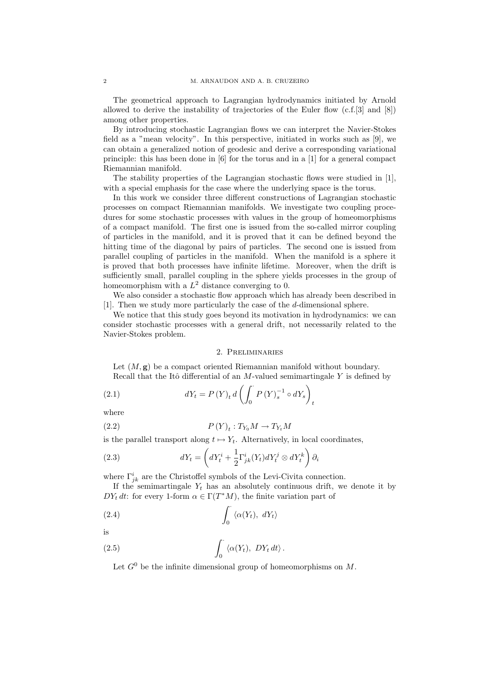The geometrical approach to Lagrangian hydrodynamics initiated by Arnold allowed to derive the instability of trajectories of the Euler flow  $(c.f.[3]$  and  $[8]$ ) among other properties.

By introducing stochastic Lagrangian flows we can interpret the Navier-Stokes field as a "mean velocity". In this perspective, initiated in works such as [9], we can obtain a generalized notion of geodesic and derive a corresponding variational principle: this has been done in [6] for the torus and in a [1] for a general compact Riemannian manifold.

The stability properties of the Lagrangian stochastic flows were studied in [1], with a special emphasis for the case where the underlying space is the torus.

In this work we consider three different constructions of Lagrangian stochastic processes on compact Riemannian manifolds. We investigate two coupling procedures for some stochastic processes with values in the group of homeomorphisms of a compact manifold. The first one is issued from the so-called mirror coupling of particles in the manifold, and it is proved that it can be defined beyond the hitting time of the diagonal by pairs of particles. The second one is issued from parallel coupling of particles in the manifold. When the manifold is a sphere it is proved that both processes have infinite lifetime. Moreover, when the drift is sufficiently small, parallel coupling in the sphere yields processes in the group of homeomorphism with a  $L^2$  distance converging to 0.

We also consider a stochastic flow approach which has already been described in [1]. Then we study more particularly the case of the d-dimensional sphere.

We notice that this study goes beyond its motivation in hydrodynamics: we can consider stochastic processes with a general drift, not necessarily related to the Navier-Stokes problem.

# 2. Preliminaries

Let  $(M, \mathbf{g})$  be a compact oriented Riemannian manifold without boundary. Recall that the Itô differential of an  $M$ -valued semimartingale Y is defined by

(2.1) 
$$
dY_{t} = P(Y)_{t} d \left( \int_{0}^{T} P(Y)_{s}^{-1} \circ dY_{s} \right)_{t}
$$

where

(2.2) 
$$
P(Y)_t: T_{Y_0}M \to T_{Y_t}M
$$

is the parallel transport along  $t \mapsto Y_t$ . Alternatively, in local coordinates,

(2.3) 
$$
dY_t = \left(dY_t^i + \frac{1}{2}\Gamma_{jk}^i(Y_t)dY_t^j \otimes dY_t^k\right)\partial_i
$$

where  $\Gamma^i_{jk}$  are the Christoffel symbols of the Levi-Civita connection.

If the semimartingale  $Y_t$  has an absolutely continuous drift, we denote it by  $DY_t dt$ : for every 1-form  $\alpha \in \Gamma(T^*M)$ , the finite variation part of

$$
\int_0^{\cdot} \langle \alpha(Y_t), \ dY_t \rangle
$$

is

(2.5) 
$$
\int_0^{\cdot} \langle \alpha(Y_t), \ DY_t \, dt \rangle \, .
$$

Let  $G^0$  be the infinite dimensional group of homeomorphisms on M.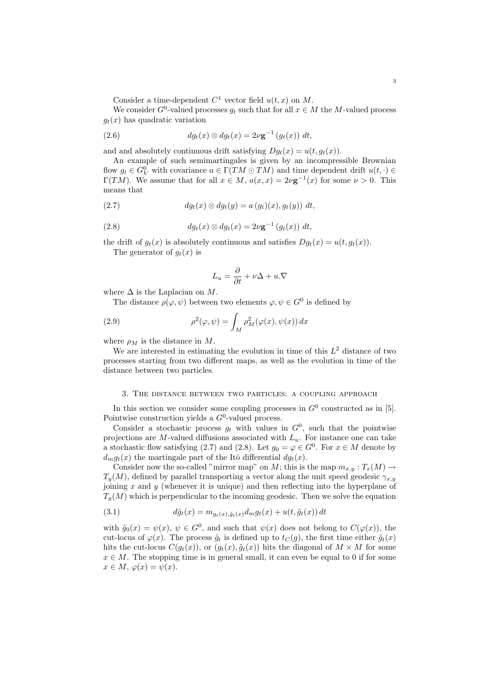Consider a time-dependent  $C^1$  vector field  $u(t, x)$  on M.

We consider  $G^0$ -valued processes  $g_t$  such that for all  $x \in M$  the M-valued process  $g_t(x)$  has quadratic variation

(2.6) 
$$
dg_t(x) \otimes dg_t(x) = 2\nu \mathbf{g}^{-1} (g_t(x)) dt,
$$

and and absolutely continuous drift satisfying  $Dg_t(x) = u(t, g_t(x))$ .

An example of such semimartingales is given by an incompressible Brownian flow  $g_t \in G_V^0$  with covariance  $a \in \Gamma(TM \odot TM)$  and time dependent drift  $u(t, \cdot) \in$  $\Gamma(TM)$ . We assume that for all  $x \in M$ ,  $a(x,x) = 2\nu \mathbf{g}^{-1}(x)$  for some  $\nu > 0$ . This means that

$$
(2.7) \t\t dg_t(x) \otimes dg_t(y) = a(g_t)(x), g_t(y)) dt,
$$

(2.8) 
$$
dg_t(x) \otimes dg_t(x) = 2\nu \mathbf{g}^{-1} (g_t(x)) dt,
$$

the drift of  $q_t(x)$  is absolutely continuous and satisfies  $Dq_t(x) = u(t, q_t(x))$ . The generator of  $q_t(x)$  is

$$
L_u = \frac{\partial}{\partial t} + \nu \Delta + u.\nabla
$$

where  $\Delta$  is the Laplacian on M.

The distance  $\rho(\varphi, \psi)$  between two elements  $\varphi, \psi \in G^0$  is defined by

(2.9) 
$$
\rho^2(\varphi,\psi) = \int_M \rho_M^2(\varphi(x),\psi(x)) dx
$$

where  $\rho_M$  is the distance in M.

We are interested in estimating the evolution in time of this  $L^2$  distance of two processes starting from two different maps, as well as the evolution in time of the distance between two particles.

### 3. The distance between two particles: a coupling approach

In this section we consider some coupling processes in  $G^0$  constructed as in [5]. Pointwise construction yields a  $G^0$ -valued process.

Consider a stochastic process  $g_t$  with values in  $G^0$ , such that the pointwise projections are M-valued diffusions associated with  $L<sub>u</sub>$ . For instance one can take a stochastic flow satisfying (2.7) and (2.8). Let  $g_0 = \varphi \in G^0$ . For  $x \in M$  denote by  $d_m g_t(x)$  the martingale part of the Itô differential  $d g_t(x)$ .

Consider now the so-called "mirror map" on M; this is the map  $m_{x,y}: T_x(M) \to$  $T_y(M)$ , defined by parallel transporting a vector along the unit speed geodesic  $\gamma_{x,y}$ joining  $x$  and  $y$  (whenever it is unique) and then reflecting into the hyperplane of  $T_u(M)$  which is perpendicular to the incoming geodesic. Then we solve the equation

(3.1) 
$$
d\tilde{g}_t(x) = m_{g_t(x), \tilde{g}_t(x)} d_m g_t(x) + u(t, \tilde{g}_t(x)) dt
$$

with  $\tilde{g}_0(x) = \psi(x), \psi \in G^0$ , and such that  $\psi(x)$  does not belong to  $C(\varphi(x))$ , the cut-locus of  $\varphi(x)$ . The process  $\tilde{g}_t$  is defined up to  $t_c(g)$ , the first time either  $\tilde{g}_t(x)$ hits the cut-locus  $C(g_t(x))$ , or  $(g_t(x), \tilde{g}_t(x))$  hits the diagonal of  $M \times M$  for some  $x \in M$ . The stopping time is in general small, it can even be equal to 0 if for some  $x \in M$ ,  $\varphi(x) = \psi(x)$ .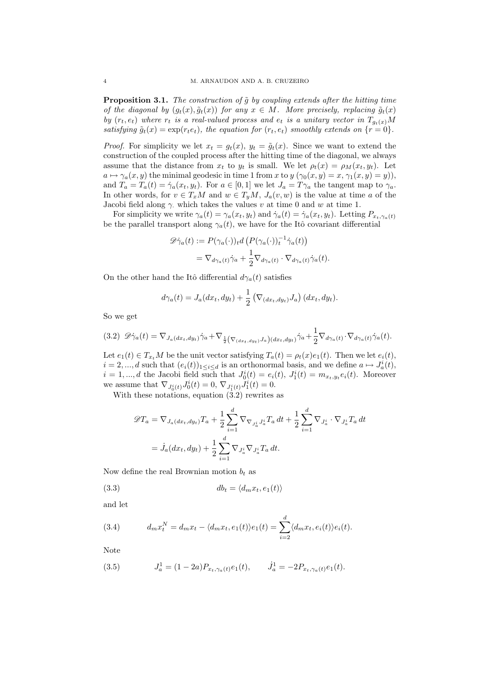**Proposition 3.1.** The construction of  $\tilde{q}$  by coupling extends after the hitting time of the diagonal by  $(g_t(x), \tilde{g}_t(x))$  for any  $x \in M$ . More precisely, replacing  $\tilde{g}_t(x)$ by  $(r_t, e_t)$  where  $r_t$  is a real-valued process and  $e_t$  is a unitary vector in  $T_{g_t(x)}M$ satisfying  $\tilde{g}_t(x) = \exp(r_t e_t)$ , the equation for  $(r_t, e_t)$  smoothly extends on  $\{r = 0\}$ .

*Proof.* For simplicity we let  $x_t = g_t(x)$ ,  $y_t = \tilde{g}_t(x)$ . Since we want to extend the construction of the coupled process after the hitting time of the diagonal, we always assume that the distance from  $x_t$  to  $y_t$  is small. We let  $\rho_t(x) = \rho_M(x_t, y_t)$ . Let  $a \mapsto \gamma_a(x, y)$  the minimal geodesic in time 1 from x to  $y(\gamma_0(x, y) = x, \gamma_1(x, y) = y)$ ), and  $T_a = T_a(t) = \dot{\gamma}_a(x_t, y_t)$ . For  $a \in [0, 1]$  we let  $J_a = T_{\gamma_a}$  the tangent map to  $\gamma_a$ . In other words, for  $v \in T_xM$  and  $w \in T_yM$ ,  $J_a(v, w)$  is the value at time a of the Jacobi field along  $\gamma$  which takes the values v at time 0 and w at time 1.

For simplicity we write  $\gamma_a(t) = \gamma_a(x_t, y_t)$  and  $\dot{\gamma}_a(t) = \dot{\gamma}_a(x_t, y_t)$ . Letting  $P_{x_t, \gamma_a(t)}$ be the parallel transport along  $\gamma_a(t)$ , we have for the Itô covariant differential

$$
\mathscr{D}\dot{\gamma}_a(t) := P(\gamma_a(\cdot))_t d \left( P(\gamma_a(\cdot))_t^{-1} \dot{\gamma}_a(t) \right)
$$
  
= 
$$
\nabla_{d\gamma_a(t)} \dot{\gamma}_a + \frac{1}{2} \nabla_{d\gamma_a(t)} \cdot \nabla_{d\gamma_a(t)} \dot{\gamma}_a(t).
$$

On the other hand the Itô differential  $d\gamma_a(t)$  satisfies

$$
d\gamma_a(t) = J_a(dx_t, dy_t) + \frac{1}{2} \left( \nabla_{(dx_t, dy_t)} J_a \right) (dx_t, dy_t).
$$

So we get

$$
(3.2) \mathscr{D}\dot{\gamma}_a(t) = \nabla_{J_a(dx_t, dy_t)} \dot{\gamma}_a + \nabla_{\frac{1}{2}(\nabla_{(dx_t, dy_t)} J_a)(dx_t, dy_t)} \dot{\gamma}_a + \frac{1}{2} \nabla_{d\gamma_a(t)} \cdot \nabla_{d\gamma_a(t)} \dot{\gamma}_a(t).
$$

Let  $e_1(t) \in T_{x_t}M$  be the unit vector satisfying  $T_a(t) = \rho_t(x)e_1(t)$ . Then we let  $e_i(t)$ ,  $i = 2, ..., d$  such that  $(e_i(t))_{1 \leq i \leq d}$  is an orthonormal basis, and we define  $a \mapsto J_a^i(t)$ ,  $i = 1, ..., d$  the Jacobi field such that  $J_0^i(t) = e_i(t), J_1^i(t) = m_{x_t, y_t} e_i(t)$ . Moreover we assume that  $\nabla_{J_0^i(t)} J_0^i(t) = 0$ ,  $\nabla_{J_1^i(t)} J_1^i(t) = 0$ .

With these notations, equation  $(3.2)$  rewrites as

$$
\mathscr{D}T_{a} = \nabla_{J_{a}(dx_{t}, dy_{t})}T_{a} + \frac{1}{2} \sum_{i=1}^{d} \nabla_{\nabla_{J_{a}^{i}}J_{a}^{i}}T_{a} dt + \frac{1}{2} \sum_{i=1}^{d} \nabla_{J_{a}^{i}} \cdot \nabla_{J_{a}^{i}}T_{a} dt
$$

$$
= \dot{J}_{a}(dx_{t}, dy_{t}) + \frac{1}{2} \sum_{i=1}^{d} \nabla_{J_{a}^{i}}\nabla_{J_{a}^{i}}T_{a} dt.
$$

Now define the real Brownian motion  $b_t$  as

$$
(3.3) \t\t\t db_t = \langle d_m x_t, e_1(t) \rangle
$$

and let

(3.4) 
$$
d_m x_t^N = d_m x_t - \langle d_m x_t, e_1(t) \rangle e_1(t) = \sum_{i=2}^d \langle d_m x_t, e_i(t) \rangle e_i(t).
$$

Note

(3.5) 
$$
J_a^1 = (1 - 2a)P_{x_t, \gamma_a(t)}e_1(t), \qquad J_a^1 = -2P_{x_t, \gamma_a(t)}e_1(t).
$$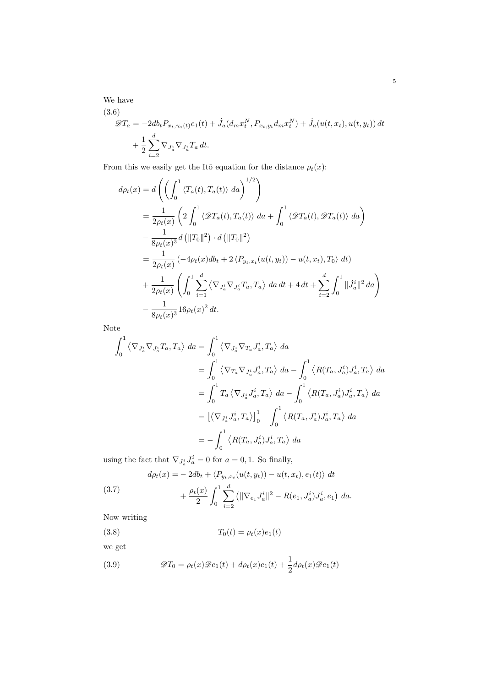We have (3.6)

$$
\mathcal{D}T_a = -2db_t P_{x_t, \gamma_a(t)} e_1(t) + \dot{J}_a(d_m x_t^N, P_{x_t, y_t} d_m x_t^N) + \dot{J}_a(u(t, x_t), u(t, y_t)) dt + \frac{1}{2} \sum_{i=2}^d \nabla_{J_a^i} \nabla_{J_a^i} T_a dt.
$$

From this we easily get the Itô equation for the distance  $\rho_t(x)$ :

$$
d\rho_t(x) = d\left(\left(\int_0^1 \langle T_a(t), T_a(t) \rangle da\right)^{1/2}\right)
$$
  
\n
$$
= \frac{1}{2\rho_t(x)} \left(2\int_0^1 \langle \mathcal{D}T_a(t), T_a(t) \rangle da + \int_0^1 \langle \mathcal{D}T_a(t), \mathcal{D}T_a(t) \rangle da\right)
$$
  
\n
$$
- \frac{1}{8\rho_t(x)^3} d\left(\|T_0\|^2\right) \cdot d\left(\|T_0\|^2\right)
$$
  
\n
$$
= \frac{1}{2\rho_t(x)} \left(-4\rho_t(x)db_t + 2\langle P_{y_t, x_t}(u(t, y_t)) - u(t, x_t), T_0 \rangle dt\right)
$$
  
\n
$$
+ \frac{1}{2\rho_t(x)} \left(\int_0^1 \sum_{i=1}^d \langle \nabla_{J_a^i} \nabla_{J_a^i} T_a, T_a \rangle da dt + 4 dt + \sum_{i=2}^d \int_0^1 \|J_a^i\|^2 da\right)
$$
  
\n
$$
- \frac{1}{8\rho_t(x)^3} 16\rho_t(x)^2 dt.
$$

Note

$$
\int_0^1 \left\langle \nabla_{J_a^i} \nabla_{J_a^i} T_a, T_a \right\rangle da = \int_0^1 \left\langle \nabla_{J_a^i} \nabla_{T_a} J_a^i, T_a \right\rangle da
$$
  
\n
$$
= \int_0^1 \left\langle \nabla_{T_a} \nabla_{J_a^i} J_a^i, T_a \right\rangle da - \int_0^1 \left\langle R(T_a, J_a^i) J_a^i, T_a \right\rangle da
$$
  
\n
$$
= \int_0^1 T_a \left\langle \nabla_{J_a^i} J_a^i, T_a \right\rangle da - \int_0^1 \left\langle R(T_a, J_a^i) J_a^i, T_a \right\rangle da
$$
  
\n
$$
= \left[ \left\langle \nabla_{J_a^i} J_a^i, T_a \right\rangle \right]_0^1 - \int_0^1 \left\langle R(T_a, J_a^i) J_a^i, T_a \right\rangle da
$$
  
\n
$$
= - \int_0^1 \left\langle R(T_a, J_a^i) J_a^i, T_a \right\rangle da
$$

using the fact that  $\nabla_{J_a^i} J_a^i = 0$  for  $a = 0, 1$ . So finally,

(3.7) 
$$
d\rho_t(x) = -2db_t + \langle P_{y_t, x_t}(u(t, y_t)) - u(t, x_t), e_1(t) \rangle dt + \frac{\rho_t(x)}{2} \int_0^1 \sum_{i=2}^d (||\nabla_{e_1} J_a^i||^2 - R(e_1, J_a^i) J_a^i, e_1) da.
$$

Now writing

(3.8) 
$$
T_0(t) = \rho_t(x)e_1(t)
$$

we get

(3.9) 
$$
\mathscr{D}T_0 = \rho_t(x)\mathscr{D}e_1(t) + d\rho_t(x)e_1(t) + \frac{1}{2}d\rho_t(x)\mathscr{D}e_1(t)
$$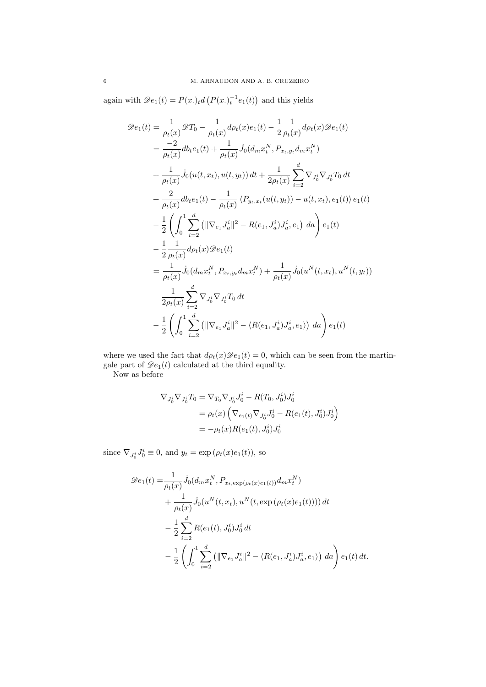again with  $\mathscr{D}e_1(t) = P(x_\cdot)_t d\left(P(x_\cdot)_t^{-1} e_1(t)\right)$  and this yields

$$
\mathcal{D}e_{1}(t) = \frac{1}{\rho_{t}(x)} \mathcal{D}T_{0} - \frac{1}{\rho_{t}(x)} d\rho_{t}(x) e_{1}(t) - \frac{1}{2} \frac{1}{\rho_{t}(x)} d\rho_{t}(x) \mathcal{D}e_{1}(t)
$$
  
\n
$$
= \frac{-2}{\rho_{t}(x)} d b_{t} e_{1}(t) + \frac{1}{\rho_{t}(x)} J_{0}(d_{m}x_{t}^{N}, P_{x_{t}, y_{t}} d_{m}x_{t}^{N})
$$
  
\n
$$
+ \frac{1}{\rho_{t}(x)} J_{0}(u(t, x_{t}), u(t, y_{t})) dt + \frac{1}{2\rho_{t}(x)} \sum_{i=2}^{d} \nabla_{J_{0}^{i}} \nabla_{J_{0}^{i}} T_{0} dt
$$
  
\n
$$
+ \frac{2}{\rho_{t}(x)} d b_{t} e_{1}(t) - \frac{1}{\rho_{t}(x)} \langle P_{y_{t}, x_{t}}(u(t, y_{t})) - u(t, x_{t}), e_{1}(t) \rangle e_{1}(t)
$$
  
\n
$$
- \frac{1}{2} \left( \int_{0}^{1} \sum_{i=2}^{d} (||\nabla_{e_{1}} J_{a}^{i}||^{2} - R(e_{1}, J_{a}^{i}) J_{a}^{i}, e_{1}) da \right) e_{1}(t)
$$
  
\n
$$
- \frac{1}{2} \frac{1}{\rho_{t}(x)} d\rho_{t}(x) \mathcal{D}e_{1}(t)
$$
  
\n
$$
= \frac{1}{\rho_{t}(x)} J_{0}(d_{m}x_{t}^{N}, P_{x_{t}, y_{t}} d_{m}x_{t}^{N}) + \frac{1}{\rho_{t}(x)} J_{0}(u^{N}(t, x_{t}), u^{N}(t, y_{t}))
$$
  
\n
$$
+ \frac{1}{2\rho_{t}(x)} \sum_{i=2}^{d} \nabla_{J_{0}^{i}} \nabla_{J_{0}^{i}} T_{0} dt
$$
  
\n
$$
- \frac{1}{2} \left( \int_{0}^{1} \sum_{i=2}^{d} (||\nabla_{e_{1}} J_{a}^{i}||^{2} - \langle R(e_{1}, J_{a}^{i
$$

where we used the fact that  $d\rho_t(x)\mathscr{D}e_1(t) = 0$ , which can be seen from the martingale part of  $\mathcal{D}e_1(t)$  calculated at the third equality.

Now as before

$$
\nabla_{J_0^i} \nabla_{J_0^i} T_0 = \nabla_{T_0} \nabla_{J_0^i} J_0^i - R(T_0, J_0^i) J_0^i
$$
  
=  $\rho_t(x) \left( \nabla_{e_1(t)} \nabla_{J_0^i} J_0^i - R(e_1(t), J_0^i) J_0^i \right)$   
=  $-\rho_t(x) R(e_1(t), J_0^i) J_0^i$ 

since  $\nabla_{J_0^i} J_0^i \equiv 0$ , and  $y_t = \exp(\rho_t(x)e_1(t))$ , so

$$
\mathscr{D}e_{1}(t) = \frac{1}{\rho_{t}(x)} \dot{J}_{0}(d_{m}x_{t}^{N}, P_{x_{t}, \exp(\rho_{t}(x)e_{1}(t))} d_{m}x_{t}^{N}) \n+ \frac{1}{\rho_{t}(x)} \dot{J}_{0}(u^{N}(t, x_{t}), u^{N}(t, \exp(\rho_{t}(x)e_{1}(t)))) dt \n- \frac{1}{2} \sum_{i=2}^{d} R(e_{1}(t), J_{0}^{i}) J_{0}^{i} dt \n- \frac{1}{2} \left( \int_{0}^{1} \sum_{i=2}^{d} (||\nabla_{e_{1}}J_{a}^{i}||^{2} - \langle R(e_{1}, J_{a}^{i})J_{a}^{i}, e_{1} \rangle) da \right) e_{1}(t) dt.
$$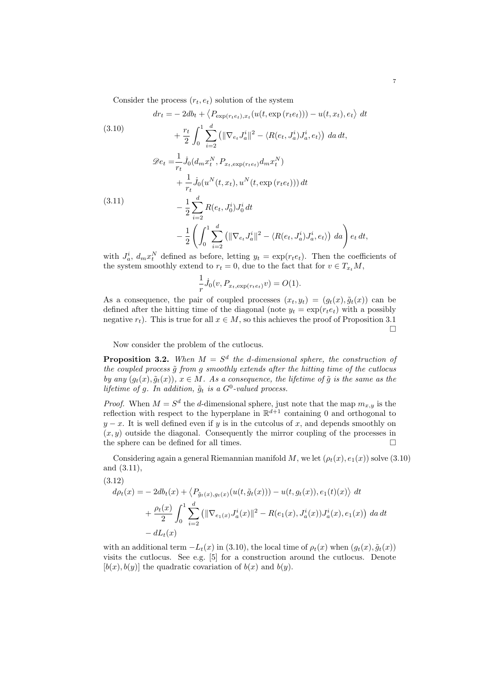Consider the process  $(r_t, e_t)$  solution of the system

(3.10)  
\n
$$
dr_{t} = -2db_{t} + \langle P_{\exp(r_{t}e_{t}),x_{t}}(u(t,\exp(r_{t}e_{t}))) - u(t,x_{t}),e_{t} \rangle dt
$$
\n
$$
+ \frac{r_{t}}{2} \int_{0}^{1} \sum_{i=2}^{d} (||\nabla_{e_{t}} J_{a}^{i}||^{2} - \langle R(e_{t}, J_{a}^{i}) J_{a}^{i}, e_{t} \rangle) da dt,
$$
\n
$$
\mathcal{D}e_{t} = \frac{1}{r_{t}} \dot{J}_{0}(d_{m} x_{t}^{N}, P_{x_{t}, \exp(r_{t}e_{t})} d_{m} x_{t}^{N})
$$
\n
$$
+ \frac{1}{r_{t}} \dot{J}_{0}(u^{N}(t, x_{t}), u^{N}(t, \exp(r_{t}e_{t}))) dt
$$
\n(3.11)  
\n
$$
- \frac{1}{2} \sum_{i=2}^{d} R(e_{t}, J_{0}^{i}) J_{0}^{i} dt
$$
\n
$$
- \frac{1}{2} \left( \int_{0}^{1} \sum_{i=2}^{d} (||\nabla_{e_{t}} J_{a}^{i}||^{2} - \langle R(e_{t}, J_{a}^{i}) J_{a}^{i}, e_{t} \rangle) da \right) e_{t} dt,
$$

7

with  $J_a^i$ ,  $d_m x_t^N$  defined as before, letting  $y_t = \exp(r_t e_t)$ . Then the coefficients of the system smoothly extend to  $r_t = 0$ , due to the fact that for  $v \in T_{x_t}M$ ,

$$
\frac{1}{r}\dot{J}_0(v, P_{x_t, \exp(r_t e_t)}v) = O(1).
$$

As a consequence, the pair of coupled processes  $(x_t, y_t) = (g_t(x), \tilde{g}_t(x))$  can be defined after the hitting time of the diagonal (note  $y_t = \exp(r_t e_t)$ ) with a possibly negative  $r_t$ ). This is true for all  $x \in M$ , so this achieves the proof of Proposition 3.1  $\Box$ 

Now consider the problem of the cutlocus.

**Proposition 3.2.** When  $M = S^d$  the d-dimensional sphere, the construction of the coupled process  $\tilde{g}$  from  $g$  smoothly extends after the hitting time of the cutlocus by any  $(g_t(x), \tilde{g}_t(x))$ ,  $x \in M$ . As a consequence, the lifetime of  $\tilde{g}$  is the same as the lifetime of g. In addition,  $\tilde{g}_t$  is a  $G^0$ -valued process.

*Proof.* When  $M = S^d$  the d-dimensional sphere, just note that the map  $m_{x,y}$  is the reflection with respect to the hyperplane in  $\mathbb{R}^{d+1}$  containing 0 and orthogonal to  $y - x$ . It is well defined even if y is in the cutcolus of x, and depends smoothly on  $(x, y)$  outside the diagonal. Consequently the mirror coupling of the processes in the sphere can be defined for all times.  $\Box$ 

Considering again a general Riemannian manifold M, we let  $(\rho_t(x), e_1(x))$  solve (3.10) and (3.11),

(3.12)  
\n
$$
d\rho_t(x) = -2db_t(x) + \langle P_{\tilde{g}_t(x), g_t(x)}(u(t, \tilde{g}_t(x))) - u(t, g_t(x)), e_1(t)(x) \rangle dt
$$
\n
$$
+ \frac{\rho_t(x)}{2} \int_0^1 \sum_{i=2}^d (||\nabla_{e_1(x)} J_a^i(x)||^2 - R(e_1(x), J_a^i(x)) J_a^i(x), e_1(x)) da dt
$$
\n
$$
- dL_t(x)
$$

with an additional term  $-L_t(x)$  in (3.10), the local time of  $\rho_t(x)$  when  $(g_t(x), \tilde{g}_t(x))$ visits the cutlocus. See e.g. [5] for a construction around the cutlocus. Denote  $[b(x), b(y)]$  the quadratic covariation of  $b(x)$  and  $b(y)$ .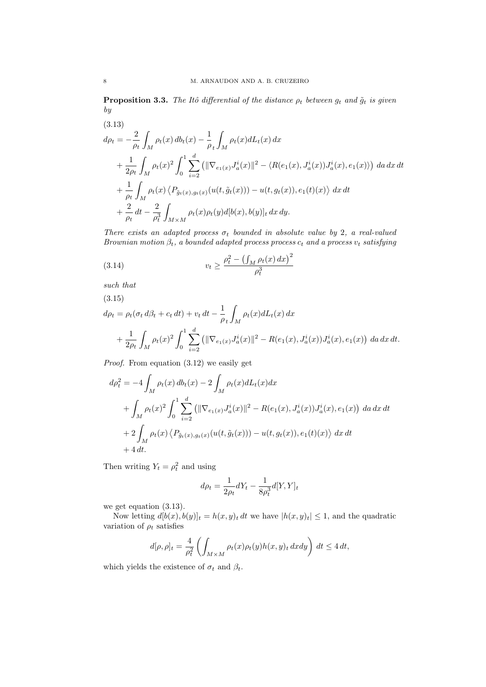**Proposition 3.3.** The Itô differential of the distance  $\rho_t$  between  $g_t$  and  $\tilde{g}_t$  is given by

(3.13)  
\n
$$
d\rho_t = -\frac{2}{\rho_t} \int_M \rho_t(x) \, db_t(x) - \frac{1}{\rho_t} \int_M \rho_t(x) dL_t(x) \, dx
$$
\n
$$
+ \frac{1}{2\rho_t} \int_M \rho_t(x)^2 \int_0^1 \sum_{i=2}^d (||\nabla_{e_1(x)} J_a^i(x)||^2 - \langle R(e_1(x), J_a^i(x)) J_a^i(x), e_1(x) \rangle) \, da \, dx \, dt
$$
\n
$$
+ \frac{1}{\rho_t} \int_M \rho_t(x) \langle P_{\tilde{g}_t(x), g_t(x)}(u(t, \tilde{g}_t(x))) - u(t, g_t(x)), e_1(t)(x) \rangle \, dx \, dt
$$
\n
$$
+ \frac{2}{\rho_t} \, dt - \frac{2}{\rho_t^3} \int_{M \times M} \rho_t(x) \rho_t(y) d[b(x), b(y)]_t \, dx \, dy.
$$

There exists an adapted process  $\sigma_t$  bounded in absolute value by 2, a real-valued Brownian motion  $\beta_t$ , a bounded adapted process process  $c_t$  and a process  $v_t$  satisfying

(3.14) 
$$
v_t \ge \frac{\rho_t^2 - \left(\int_M \rho_t(x) \, dx\right)^2}{\rho_t^3}
$$

such that

(3.15)

$$
d\rho_t = \rho_t(\sigma_t d\beta_t + c_t dt) + v_t dt - \frac{1}{\rho_t} \int_M \rho_t(x) dL_t(x) dx
$$
  
+ 
$$
\frac{1}{2\rho_t} \int_M \rho_t(x)^2 \int_0^1 \sum_{i=2}^d (||\nabla_{e_1(x)} J_a^i(x)||^2 - R(e_1(x), J_a^i(x)) J_a^i(x), e_1(x)) da dx dt.
$$

Proof. From equation (3.12) we easily get

$$
d\rho_t^2 = -4 \int_M \rho_t(x) \, db_t(x) - 2 \int_M \rho_t(x) dL_t(x) dx
$$
  
+ 
$$
\int_M \rho_t(x)^2 \int_0^1 \sum_{i=2}^d (||\nabla_{e_1(x)} J_a^i(x)||^2 - R(e_1(x), J_a^i(x)) J_a^i(x), e_1(x)) \, da \, dx \, dt
$$
  
+ 
$$
2 \int_M \rho_t(x) \langle P_{\tilde{g}_t(x), g_t(x)}(u(t, \tilde{g}_t(x))) - u(t, g_t(x)), e_1(t)(x) \rangle \, dx \, dt
$$
  
+ 
$$
4 \, dt.
$$

Then writing  $Y_t = \rho_t^2$  and using

$$
d\rho_t = \frac{1}{2\rho_t} dY_t - \frac{1}{8\rho_t^3} d[Y, Y]_t
$$

we get equation (3.13).

Now letting  $d[b(x), b(y)]_t = h(x, y)_t dt$  we have  $|h(x, y)_t| \leq 1$ , and the quadratic variation of  $\rho_t$  satisfies

$$
d[\rho, \rho]_t = \frac{4}{\rho_t^2} \left( \int_{M \times M} \rho_t(x) \rho_t(y) h(x, y)_t \, dx dy \right) dt \le 4 dt,
$$

which yields the existence of  $\sigma_t$  and  $\beta_t$ .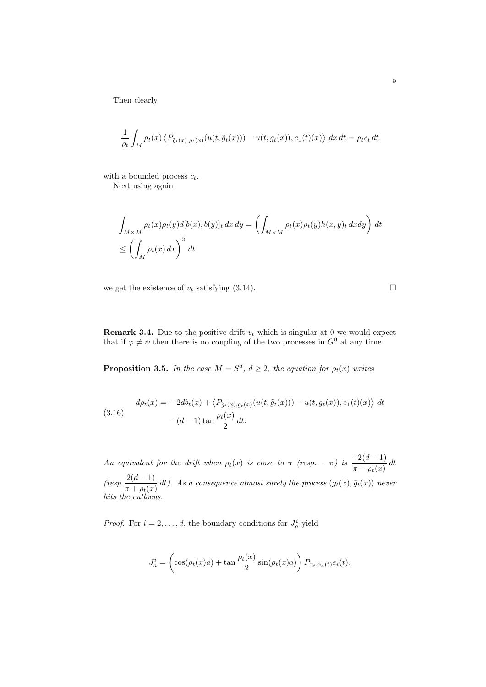Then clearly

$$
\frac{1}{\rho_t} \int_M \rho_t(x) \left\langle P_{\tilde{g}_t(x),g_t(x)}(u(t,\tilde{g}_t(x))) - u(t,g_t(x)), e_1(t)(x) \right\rangle dx dt = \rho_t c_t dt
$$

with a bounded process  $c_t$ .

Next using again

$$
\int_{M \times M} \rho_t(x) \rho_t(y) d[b(x), b(y)]_t dx dy = \left( \int_{M \times M} \rho_t(x) \rho_t(y) h(x, y)_t dx dy \right) dt
$$
  
\n
$$
\leq \left( \int_M \rho_t(x) dx \right)^2 dt
$$

we get the existence of  $v_t$  satisfying (3.14).

**Remark 3.4.** Due to the positive drift  $v_t$  which is singular at 0 we would expect that if  $\varphi \neq \psi$  then there is no coupling of the two processes in  $G^0$  at any time.

**Proposition 3.5.** In the case  $M = S^d$ ,  $d \geq 2$ , the equation for  $\rho_t(x)$  writes

(3.16) 
$$
d\rho_t(x) = -2db_t(x) + \langle P_{\tilde{g}_t(x), g_t(x)}(u(t, \tilde{g}_t(x))) - u(t, g_t(x)), e_1(t)(x) \rangle dt - (d-1) \tan \frac{\rho_t(x)}{2} dt.
$$

An equivalent for the drift when  $\rho_t(x)$  is close to  $\pi$  (resp.  $-\pi$ ) is  $\frac{-2(d-1)}{\pi - \rho_t(x)} dt$  $(resp. \frac{2(d-1)}{\pi + \rho_t(x)} dt)$ . As a consequence almost surely the process  $(g_t(x), \tilde{g}_t(x))$  never hits the cutlocus.

*Proof.* For  $i = 2, ..., d$ , the boundary conditions for  $J_a^i$  yield

$$
J_a^i = \left(\cos(\rho_t(x)a) + \tan\frac{\rho_t(x)}{2}\sin(\rho_t(x)a)\right)P_{x_t,\gamma_a(t)}e_i(t).
$$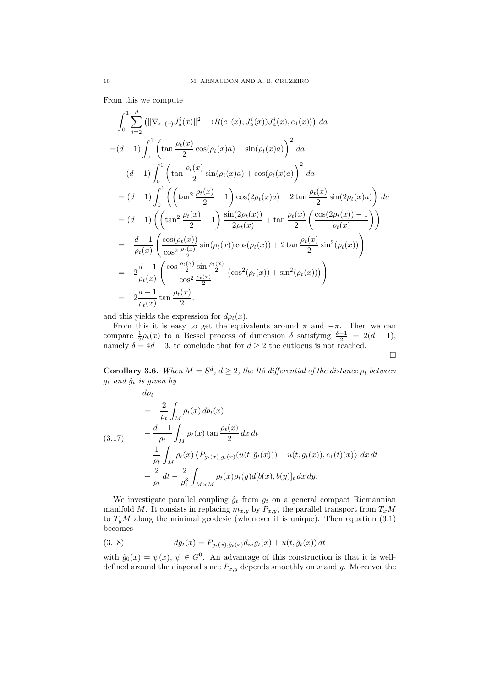From this we compute

$$
\int_{0}^{1} \sum_{i=2}^{d} (||\nabla_{e_{1}(x)} J_{a}^{i}(x)||^{2} - \langle R(e_{1}(x), J_{a}^{i}(x)) J_{a}^{i}(x), e_{1}(x) \rangle) da
$$
  
=  $(d-1) \int_{0}^{1} \left( \tan \frac{\rho_{t}(x)}{2} \cos(\rho_{t}(x)a) - \sin(\rho_{t}(x)a) \right)^{2} da$   
 $-(d-1) \int_{0}^{1} \left( \tan \frac{\rho_{t}(x)}{2} \sin(\rho_{t}(x)a) + \cos(\rho_{t}(x)a) \right)^{2} da$   
=  $(d-1) \int_{0}^{1} \left( \left( \tan^{2} \frac{\rho_{t}(x)}{2} - 1 \right) \cos(2\rho_{t}(x)a) - 2 \tan \frac{\rho_{t}(x)}{2} \sin(2\rho_{t}(x)a) \right) da$   
=  $(d-1) \left( \left( \tan^{2} \frac{\rho_{t}(x)}{2} - 1 \right) \frac{\sin(2\rho_{t}(x))}{2\rho_{t}(x)} + \tan \frac{\rho_{t}(x)}{2} \left( \frac{\cos(2\rho_{t}(x)) - 1}{\rho_{t}(x)} \right) \right)$   
=  $-\frac{d-1}{\rho_{t}(x)} \left( \frac{\cos(\rho_{t}(x))}{\cos^{2} \frac{\rho_{t}(x)}{2}} \sin(\rho_{t}(x)) \cos(\rho_{t}(x)) + 2 \tan \frac{\rho_{t}(x)}{2} \sin^{2}(\rho_{t}(x)) \right)$   
=  $-2 \frac{d-1}{\rho_{t}(x)} \left( \frac{\cos \frac{\rho_{t}(x)}{2} \sin \frac{\rho_{t}(x)}{2}}{\cos^{2} \frac{\rho_{t}(x)}{2}} (\cos^{2}(\rho_{t}(x)) + \sin^{2}(\rho_{t}(x))) \right)$   
=  $-2 \frac{d-1}{\rho_{t}(x)} \tan \frac{\rho_{t}(x)}{2}.$ 

and this yields the expression for  $d\rho_t(x)$ .

From this it is easy to get the equivalents around  $\pi$  and  $-\pi$ . Then we can compare  $\frac{1}{2}\rho_t(x)$  to a Bessel process of dimension  $\delta$  satisfying  $\frac{\delta-1}{2} = 2(d-1)$ , namely  $\delta = 4d - 3$ , to conclude that for  $d \geq 2$  the cutlocus is not reached.  $\Box$ 

**Corollary 3.6.** When  $M = S^d$ ,  $d \geq 2$ , the Itô differential of the distance  $\rho_t$  between  $g_t$  and  $\tilde{g}_t$  is given by

$$
d\rho_t
$$
  
=  $-\frac{2}{\rho_t} \int_M \rho_t(x) db_t(x)$   
(3.17) 
$$
-\frac{d-1}{\rho_t} \int_M \rho_t(x) \tan \frac{\rho_t(x)}{2} dx dt
$$

$$
+\frac{1}{\rho_t} \int_M \rho_t(x) \langle P_{\tilde{g}_t(x),g_t(x)}(u(t,\tilde{g}_t(x))) - u(t,g_t(x)), e_1(t)(x) \rangle dx dt
$$

$$
+\frac{2}{\rho_t} dt - \frac{2}{\rho_t^3} \int_{M \times M} \rho_t(x) \rho_t(y) d[b(x),b(y)]_t dx dy.
$$

We investigate parallel coupling  $\hat{g}_t$  from  $g_t$  on a general compact Riemannian manifold M. It consists in replacing  $m_{x,y}$  by  $P_{x,y}$ , the parallel transport from  $T_xM$ to  $T_yM$  along the minimal geodesic (whenever it is unique). Then equation (3.1) becomes

(3.18) 
$$
d\hat{g}_t(x) = P_{g_t(x), \hat{g}_t(x)} d_m g_t(x) + u(t, \hat{g}_t(x)) dt
$$

with  $\hat{g}_0(x) = \psi(x), \psi \in G^0$ . An advantage of this construction is that it is welldefined around the diagonal since  $P_{x,y}$  depends smoothly on x and y. Moreover the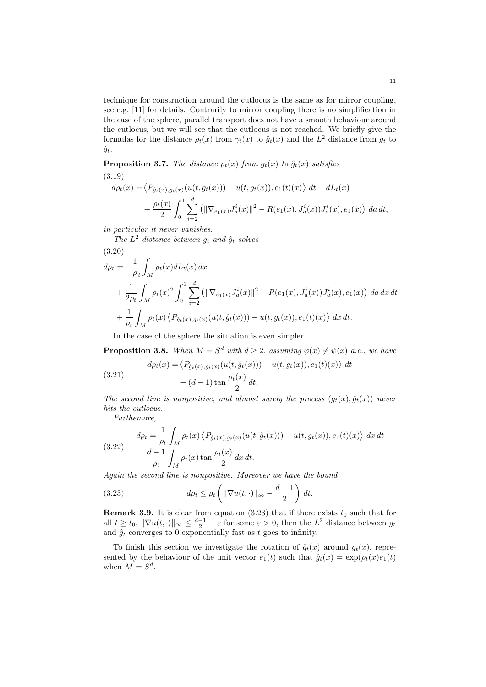technique for construction around the cutlocus is the same as for mirror coupling, see e.g. [11] for details. Contrarily to mirror coupling there is no simplification in the case of the sphere, parallel transport does not have a smooth behaviour around the cutlocus, but we will see that the cutlocus is not reached. We briefly give the formulas for the distance  $\rho_t(x)$  from  $\gamma_t(x)$  to  $\hat{g}_t(x)$  and the  $L^2$  distance from  $g_t$  to  $\hat{g}_t$ .

**Proposition 3.7.** The distance  $\rho_t(x)$  from  $g_t(x)$  to  $\hat{g}_t(x)$  satisfies (3.19)

$$
d\rho_t(x) = \langle P_{\hat{g}_t(x), g_t(x)}(u(t, \hat{g}_t(x))) - u(t, g_t(x)), e_1(t)(x) \rangle dt - dL_t(x)
$$
  
+ 
$$
\frac{\rho_t(x)}{2} \int_0^1 \sum_{i=2}^d (||\nabla_{e_1(x)} J_a^i(x)||^2 - R(e_1(x), J_a^i(x)) J_a^i(x), e_1(x)) da dt,
$$

in particular it never vanishes.

The  $L^2$  distance between  $g_t$  and  $\hat{g}_t$  solves

(3.20)  
\n
$$
d\rho_t = -\frac{1}{\rho_t} \int_M \rho_t(x) dL_t(x) dx
$$
\n
$$
+ \frac{1}{2\rho_t} \int_M \rho_t(x)^2 \int_0^1 \sum_{i=2}^d (||\nabla_{e_1(x)} J_a^i(x)||^2 - R(e_1(x), J_a^i(x)) J_a^i(x), e_1(x)) da dx dt
$$
\n
$$
+ \frac{1}{\rho_t} \int_M \rho_t(x) \langle P_{\hat{g}_t(x), g_t(x)} (u(t, \hat{g}_t(x))) - u(t, g_t(x)), e_1(t)(x) \rangle dx dt.
$$

In the case of the sphere the situation is even simpler.

**Proposition 3.8.** When  $M = S^d$  with  $d \geq 2$ , assuming  $\varphi(x) \neq \psi(x)$  a.e., we have

 $\rangle dt$ 

(3.21) 
$$
d\rho_t(x) = \langle P_{\hat{g}_t(x), g_t(x)}(u(t, \hat{g}_t(x))) - u(t, g_t(x)), e_1(t)(x) - (d-1) \tan \frac{\rho_t(x)}{2} dt.
$$

The second line is nonpositive, and almost surely the process  $(g_t(x), \hat{g}_t(x))$  never hits the cutlocus.

Furthemore,

(3.22) 
$$
d\rho_t = \frac{1}{\rho_t} \int_M \rho_t(x) \langle P_{\hat{g}_t(x), g_t(x)}(u(t, \hat{g}_t(x))) - u(t, g_t(x)), e_1(t)(x) \rangle dx dt
$$

$$
- \frac{d-1}{\rho_t} \int_M \rho_t(x) \tan \frac{\rho_t(x)}{2} dx dt.
$$

Again the second line is nonpositive. Moreover we have the bound

(3.23) 
$$
d\rho_t \leq \rho_t \left( \|\nabla u(t, \cdot)\|_{\infty} - \frac{d-1}{2} \right) dt.
$$

**Remark 3.9.** It is clear from equation (3.23) that if there exists  $t_0$  such that for all  $t \ge t_0$ ,  $\|\nabla u(t, \cdot)\|_{\infty} \le \frac{d-1}{2} - \varepsilon$  for some  $\varepsilon > 0$ , then the  $L^2$  distance between  $g_t$ and  $\hat{g}_t$  converges to 0 exponentially fast as t goes to infinity.

To finish this section we investigate the rotation of  $\hat{g}_t(x)$  around  $g_t(x)$ , represented by the behaviour of the unit vector  $e_1(t)$  such that  $\hat{g}_t(x) = \exp(\rho_t(x)e_1(t))$ when  $M = S^d$ .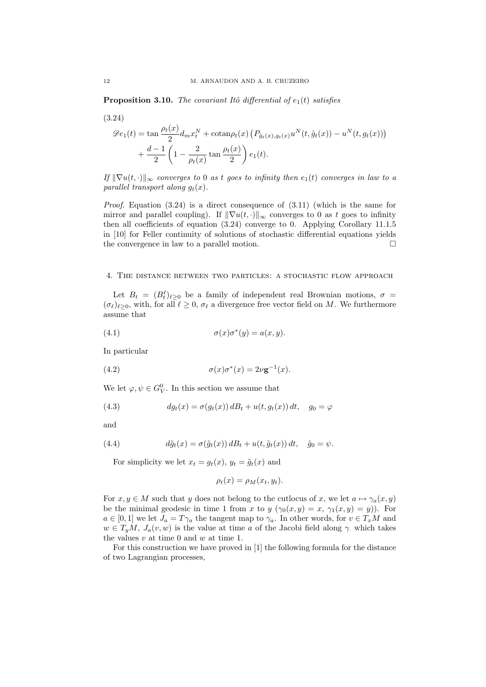**Proposition 3.10.** The covariant Itô differential of  $e_1(t)$  satisfies

$$
(3.24)
$$

$$
\mathcal{D}e_1(t) = \tan\frac{\rho_t(x)}{2}d_mx_t^N + \cot\frac{\rho_t(x)}{2}\left(P_{\hat{g}_t(x),g_t(x)}u^N(t,\hat{g}_t(x)) - u^N(t,g_t(x))\right) + \frac{d-1}{2}\left(1 - \frac{2}{\rho_t(x)}\tan\frac{\rho_t(x)}{2}\right)e_1(t).
$$

If  $\|\nabla u(t, \cdot)\|_{\infty}$  converges to 0 as t goes to infinity then  $e_1(t)$  converges in law to a parallel transport along  $q_t(x)$ .

*Proof.* Equation  $(3.24)$  is a direct consequence of  $(3.11)$  (which is the same for mirror and parallel coupling). If  $\|\nabla u(t, \cdot)\|_{\infty}$  converges to 0 as t goes to infinity then all coefficients of equation (3.24) converge to 0. Applying Corollary 11.1.5 in [10] for Feller continuity of solutions of stochastic differential equations yields the convergence in law to a parallel motion.

# 4. The distance between two particles: a stochastic flow approach

Let  $B_t = (B_t^{\ell})_{\ell \geq 0}$  be a family of independent real Brownian motions,  $\sigma =$  $(\sigma_{\ell})_{\ell>0}$ , with, for all  $\ell \geq 0$ ,  $\sigma_{\ell}$  a divergence free vector field on M. We furthermore assume that

(4.1) 
$$
\sigma(x)\sigma^*(y) = a(x,y).
$$

In particular

(4.2) 
$$
\sigma(x)\sigma^*(x) = 2\nu \mathbf{g}^{-1}(x).
$$

We let  $\varphi, \psi \in G_V^0$ . In this section we assume that

(4.3) 
$$
dg_t(x) = \sigma(g_t(x)) dB_t + u(t, g_t(x)) dt, \quad g_0 = \varphi
$$

and

(4.4) 
$$
d\tilde{g}_t(x) = \sigma(\tilde{g}_t(x)) dB_t + u(t, \tilde{g}_t(x)) dt, \quad \tilde{g}_0 = \psi.
$$

For simplicity we let  $x_t = q_t(x)$ ,  $y_t = \tilde{q}_t(x)$  and

$$
\rho_t(x) = \rho_M(x_t, y_t).
$$

For  $x, y \in M$  such that y does not belong to the cutlocus of x, we let  $a \mapsto \gamma_a(x, y)$ be the minimal geodesic in time 1 from x to y  $(\gamma_0(x, y) = x, \gamma_1(x, y) = y)$ . For  $a \in [0,1]$  we let  $J_a = T \gamma_a$  the tangent map to  $\gamma_a$ . In other words, for  $v \in T_xM$  and  $w \in T_yM$ ,  $J_a(v, w)$  is the value at time a of the Jacobi field along  $\gamma$  which takes the values  $v$  at time 0 and  $w$  at time 1.

For this construction we have proved in [1] the following formula for the distance of two Lagrangian processes,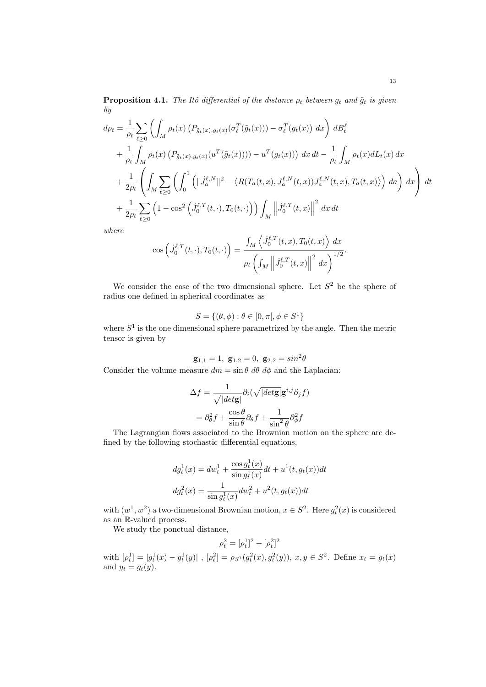**Proposition 4.1.** The Itô differential of the distance  $\rho_t$  between  $g_t$  and  $\tilde{g}_t$  is given by

$$
d\rho_{t} = \frac{1}{\rho_{t}} \sum_{\ell \geq 0} \left( \int_{M} \rho_{t}(x) \left( P_{\tilde{g}_{t}(x),g_{t}(x)}(\sigma_{\ell}^{T}(\tilde{g}_{t}(x))) - \sigma_{\ell}^{T}(g_{t}(x)) dx \right) dB_{t}^{\ell} + \frac{1}{\rho_{t}} \int_{M} \rho_{t}(x) \left( P_{\tilde{g}_{t}(x),g_{t}(x)}(u^{T}(\tilde{g}_{t}(x))) \right) - u^{T}(g_{t}(x)) dx dt - \frac{1}{\rho_{t}} \int_{M} \rho_{t}(x) dL_{t}(x) dx + \frac{1}{2\rho_{t}} \left( \int_{M} \sum_{\ell \geq 0} \left( \int_{0}^{1} \left( ||J_{a}^{\ell,N}||^{2} - \langle R(T_{a}(t,x), J_{a}^{\ell,N}(t,x)) J_{a}^{\ell,N}(t,x), T_{a}(t,x) \rangle \right) da \right) dx \right) dt + \frac{1}{2\rho_{t}} \sum_{\ell \geq 0} \left( 1 - \cos^{2} \left( \dot{J}_{0}^{\ell,T}(t,\cdot), T_{0}(t,\cdot) \right) \right) \int_{M} \left||\dot{J}_{0}^{\ell,T}(t,x)||^{2} dx dt
$$

where

$$
\cos\left(\dot{J}_0^{\ell,T}(t,\cdot),T_0(t,\cdot)\right) = \frac{\int_M \left\langle \dot{J}_0^{\ell,T}(t,x),T_0(t,x) \right\rangle dx}{\rho_t \left(\int_M \left\| \dot{J}_0^{\ell,T}(t,x) \right\|^2 dx\right)^{1/2}}.
$$

We consider the case of the two dimensional sphere. Let  $S<sup>2</sup>$  be the sphere of radius one defined in spherical coordinates as

$$
S = \{(\theta, \phi) : \theta \in [0, \pi], \phi \in S^1\}
$$

where  $S<sup>1</sup>$  is the one dimensional sphere parametrized by the angle. Then the metric tensor is given by

$$
\mathbf{g}_{1,1} = 1, \ \mathbf{g}_{1,2} = 0, \ \mathbf{g}_{2,2} = \sin^2 \theta
$$

Consider the volume measure  $dm = \sin \theta \, d\theta \, d\phi$  and the Laplacian:

$$
\Delta f = \frac{1}{\sqrt{|det \mathbf{g}|}} \partial_i (\sqrt{|det \mathbf{g}|} \mathbf{g}^{i,j} \partial_j f)
$$

$$
= \partial_\theta^2 f + \frac{\cos \theta}{\sin \theta} \partial_\theta f + \frac{1}{\sin^2 \theta} \partial_\phi^2 f
$$

The Lagrangian flows associated to the Brownian motion on the sphere are defined by the following stochastic differential equations,

$$
dg_t^1(x) = dw_t^1 + \frac{\cos g_t^1(x)}{\sin g_t^1(x)} dt + u^1(t, g_t(x)) dt
$$
  

$$
dg_t^2(x) = \frac{1}{\sin g_t^1(x)} dw_t^2 + u^2(t, g_t(x)) dt
$$

with  $(w^1, w^2)$  a two-dimensional Brownian motion,  $x \in S^2$ . Here  $g_t^2(x)$  is considered as an R-valued process.

We study the ponctual distance,

$$
\rho_t^2 = [\rho_t^1]^2 + [\rho_t^2]^2
$$

with  $[\rho_t^1] = |g_t^1(x) - g_t^1(y)|$ ,  $[\rho_t^2] = \rho_{S^1}(g_t^2(x), g_t^2(y))$ ,  $x, y \in S^2$ . Define  $x_t = g_t(x)$ and  $y_t = g_t(y)$ .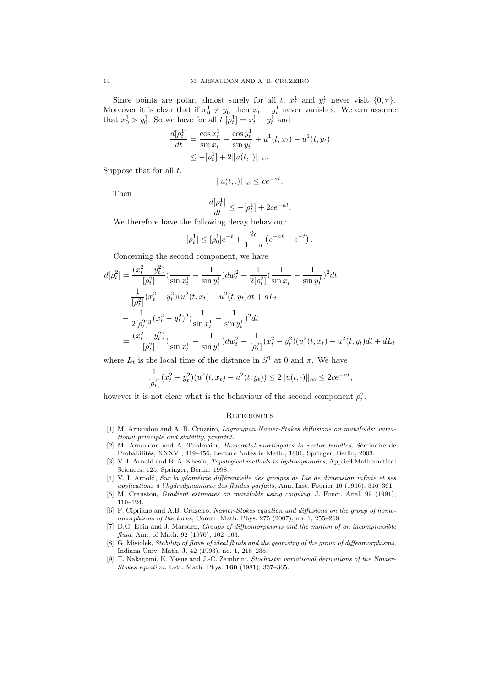Since points are polar, almost surely for all t,  $x_t^1$  and  $y_t^1$  never visit  $\{0, \pi\}$ . Moreover it is clear that if  $x_0^1 \neq y_0^1$  then  $x_t^1 - y_t^1$  never vanishes. We can assume that  $x_0^1 > y_0^1$ . So we have for all  $t \left[ \rho_t^1 \right] = x_t^1 - y_t^1$  and

$$
\frac{d[\rho_t^1]}{dt} = \frac{\cos x_t^1}{\sin x_t^1} - \frac{\cos y_t^1}{\sin y_t^1} + u^1(t, x_t) - u^1(t, y_t) \n\le -[\rho_t^1] + 2||u(t, \cdot)||_{\infty}.
$$

Suppose that for all  $t$ ,

$$
||u(t,.)||_{\infty} \leq ce^{-at}.
$$

Then

$$
\frac{d[\rho_t^1]}{dt} \le -[\rho_t^1] + 2ce^{-at}.
$$

We therefore have the following decay behaviour

 $\overline{\phantom{a}}$ 

$$
[\rho_t^1] \leq [\rho_0^1]e^{-t} + \frac{2c}{1-a} \left( e^{-at} - e^{-t} \right).
$$

Concerning the second component, we have

$$
d[\rho_t^2] = \frac{(x_t^2 - y_t^2)}{[\rho_t^2]} \left(\frac{1}{\sin x_t^1} - \frac{1}{\sin y_t^1}\right) dw_t^2 + \frac{1}{2[\rho_t^2]} \left(\frac{1}{\sin x_t^1} - \frac{1}{\sin y_t^1}\right)^2 dt
$$
  
+ 
$$
\frac{1}{[\rho_t^2]} (x_t^2 - y_t^2) (u^2(t, x_t) - u^2(t, y_t) dt + dL_t
$$
  
- 
$$
\frac{1}{2[\rho_t^2]^3} (x_t^2 - y_t^2)^2 \left(\frac{1}{\sin x_t^1} - \frac{1}{\sin y_t^1}\right)^2 dt
$$
  
= 
$$
\frac{(x_t^2 - y_t^2)}{[\rho_t^2]} \left(\frac{1}{\sin x_t^1} - \frac{1}{\sin y_t^1}\right) dw_t^2 + \frac{1}{[\rho_t^2]} (x_t^2 - y_t^2) (u^2(t, x_t) - u^2(t, y_t) dt + dL_t)
$$

where  $L_t$  is the local time of the distance in  $S^1$  at 0 and  $\pi$ . We have

$$
\frac{1}{[\rho_t^2]}(x_t^2 - y_t^2)(u^2(t, x_t) - u^2(t, y_t)) \le 2||u(t, \cdot)||_{\infty} \le 2ce^{-at},
$$

however it is not clear what is the behaviour of the second component  $\rho_t^2$ .

## **REFERENCES**

- [1] M. Arnaudon and A. B. Cruzeiro, Lagrangian Navier-Stokes diffusions on manifolds: variational principle and stability, preprint.
- [2] M. Arnaudon and A. Thalmaier, *Horizontal martingales in vector bundles*, Séminaire de Probabilités, XXXVI, 419–456, Lecture Notes in Math., 1801, Springer, Berlin, 2003.
- [3] V. I. Arnold and B. A. Khesin, Topological methods in hydrodynamics, Applied Mathematical Sciences, 125, Springer, Berlin, 1998.
- [4] V. I. Arnold, Sur la géométrie différentielle des groupes de Lie de dimension infinie et ses applications à l'hydrodynamique des fluides parfaits, Ann. Inst. Fourier 16 (1966), 316-361.
- [5] M. Cranston, Gradient estimates on manifolds using coupling, J. Funct. Anal. 99 (1991), 110–124.
- [6] F. Cipriano and A.B. Cruzeiro, Navier-Stokes equation and diffusions on the group of homeomorphisms of the torus, Comm. Math. Phys. 275 (2007), no. 1, 255–269.
- [7] D.G. Ebin and J. Marsden, Groups of diffeomorphisms and the motion of an incompressible fluid, Ann. of Math. 92 (1970), 102–163.
- [8] G. Misiolek, Stability of flows of ideal fluids and the geometry of the group of diffeomorphisms. Indiana Univ. Math. J. 42 (1993), no. 1, 215–235.
- [9] T. Nakagomi, K. Yasue and J.-C. Zambrini, Stochastic variational derivations of the Navier-Stokes equation. Lett. Math. Phys. 160 (1981), 337–365.